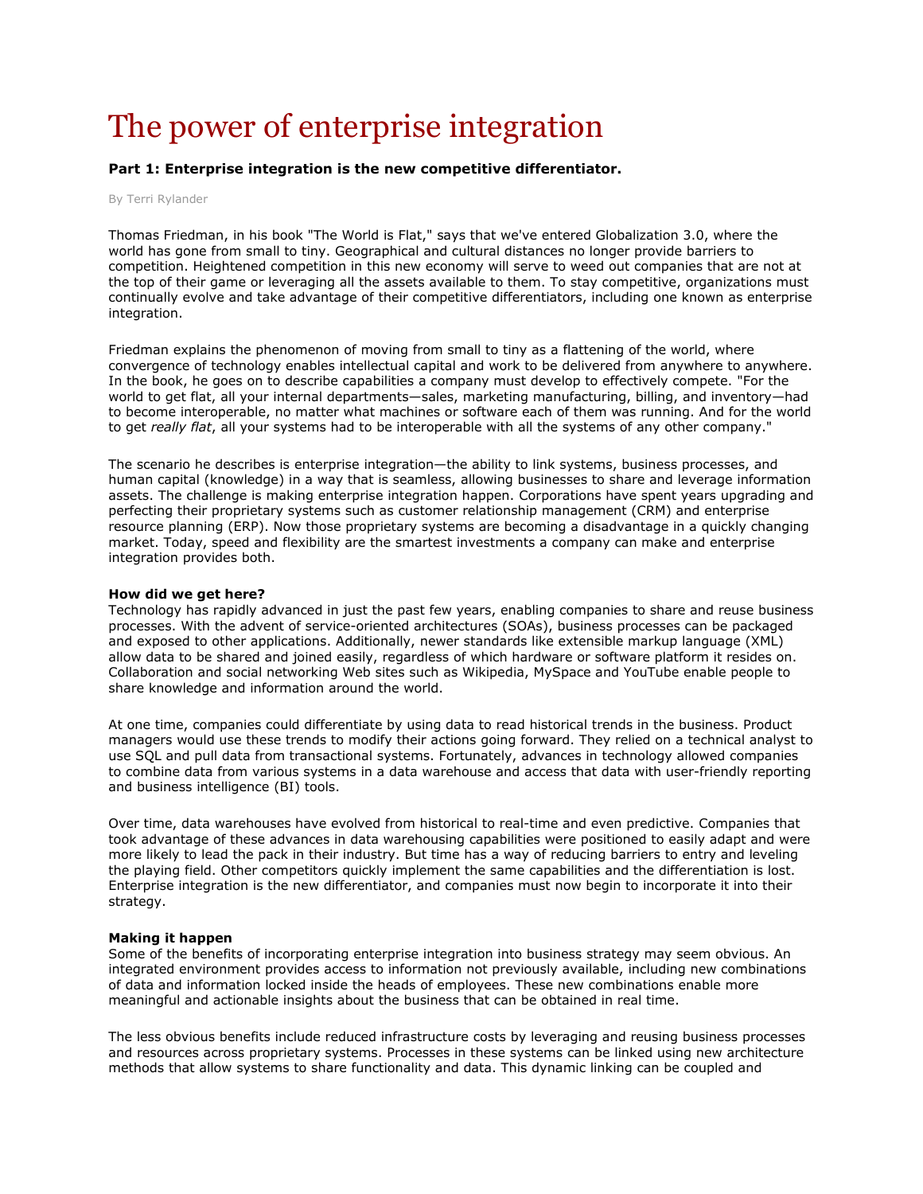# The power of enterprise integration

## Part 1: Enterprise integration is the new competitive differentiator.

#### By Terri Rylander

Thomas Friedman, in his book "The World is Flat," says that we've entered Globalization 3.0, where the world has gone from small to tiny. Geographical and cultural distances no longer provide barriers to competition. Heightened competition in this new economy will serve to weed out companies that are not at the top of their game or leveraging all the assets available to them. To stay competitive, organizations must continually evolve and take advantage of their competitive differentiators, including one known as enterprise integration.

Friedman explains the phenomenon of moving from small to tiny as a flattening of the world, where convergence of technology enables intellectual capital and work to be delivered from anywhere to anywhere. In the book, he goes on to describe capabilities a company must develop to effectively compete. "For the world to get flat, all your internal departments—sales, marketing manufacturing, billing, and inventory—had to become interoperable, no matter what machines or software each of them was running. And for the world to get really flat, all your systems had to be interoperable with all the systems of any other company."

The scenario he describes is enterprise integration—the ability to link systems, business processes, and human capital (knowledge) in a way that is seamless, allowing businesses to share and leverage information assets. The challenge is making enterprise integration happen. Corporations have spent years upgrading and perfecting their proprietary systems such as customer relationship management (CRM) and enterprise resource planning (ERP). Now those proprietary systems are becoming a disadvantage in a quickly changing market. Today, speed and flexibility are the smartest investments a company can make and enterprise integration provides both.

#### How did we get here?

Technology has rapidly advanced in just the past few years, enabling companies to share and reuse business processes. With the advent of service-oriented architectures (SOAs), business processes can be packaged and exposed to other applications. Additionally, newer standards like extensible markup language (XML) allow data to be shared and joined easily, regardless of which hardware or software platform it resides on. Collaboration and social networking Web sites such as Wikipedia, MySpace and YouTube enable people to share knowledge and information around the world.

At one time, companies could differentiate by using data to read historical trends in the business. Product managers would use these trends to modify their actions going forward. They relied on a technical analyst to use SQL and pull data from transactional systems. Fortunately, advances in technology allowed companies to combine data from various systems in a data warehouse and access that data with user-friendly reporting and business intelligence (BI) tools.

Over time, data warehouses have evolved from historical to real-time and even predictive. Companies that took advantage of these advances in data warehousing capabilities were positioned to easily adapt and were more likely to lead the pack in their industry. But time has a way of reducing barriers to entry and leveling the playing field. Other competitors quickly implement the same capabilities and the differentiation is lost. Enterprise integration is the new differentiator, and companies must now begin to incorporate it into their strategy.

#### Making it happen

Some of the benefits of incorporating enterprise integration into business strategy may seem obvious. An integrated environment provides access to information not previously available, including new combinations of data and information locked inside the heads of employees. These new combinations enable more meaningful and actionable insights about the business that can be obtained in real time.

The less obvious benefits include reduced infrastructure costs by leveraging and reusing business processes and resources across proprietary systems. Processes in these systems can be linked using new architecture methods that allow systems to share functionality and data. This dynamic linking can be coupled and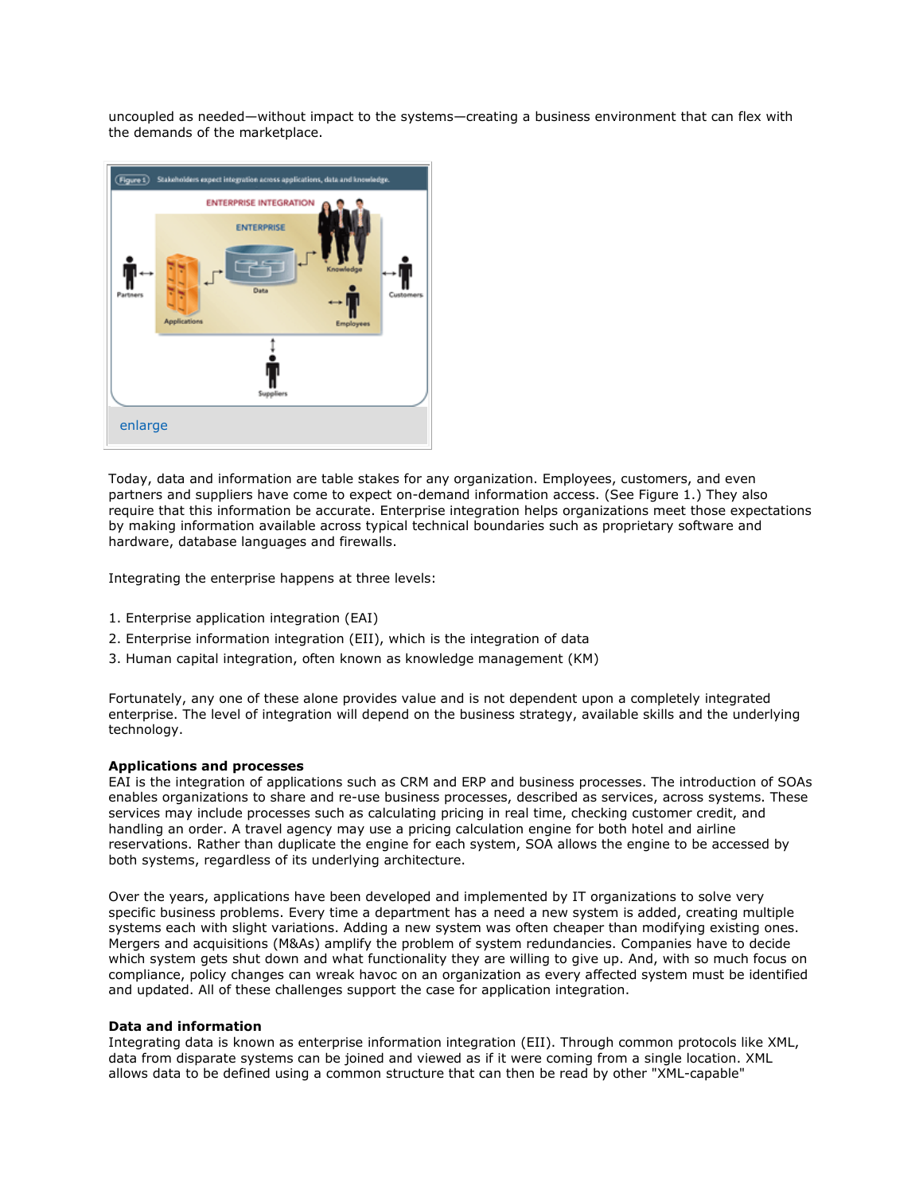uncoupled as needed—without impact to the systems—creating a business environment that can flex with the demands of the marketplace.



Today, data and information are table stakes for any organization. Employees, customers, and even partners and suppliers have come to expect on-demand information access. (See Figure 1.) They also require that this information be accurate. Enterprise integration helps organizations meet those expectations by making information available across typical technical boundaries such as proprietary software and hardware, database languages and firewalls.

Integrating the enterprise happens at three levels:

- 1. Enterprise application integration (EAI)
- 2. Enterprise information integration (EII), which is the integration of data
- 3. Human capital integration, often known as knowledge management (KM)

Fortunately, any one of these alone provides value and is not dependent upon a completely integrated enterprise. The level of integration will depend on the business strategy, available skills and the underlying technology.

#### Applications and processes

EAI is the integration of applications such as CRM and ERP and business processes. The introduction of SOAs enables organizations to share and re-use business processes, described as services, across systems. These services may include processes such as calculating pricing in real time, checking customer credit, and handling an order. A travel agency may use a pricing calculation engine for both hotel and airline reservations. Rather than duplicate the engine for each system, SOA allows the engine to be accessed by both systems, regardless of its underlying architecture.

Over the years, applications have been developed and implemented by IT organizations to solve very specific business problems. Every time a department has a need a new system is added, creating multiple systems each with slight variations. Adding a new system was often cheaper than modifying existing ones. Mergers and acquisitions (M&As) amplify the problem of system redundancies. Companies have to decide which system gets shut down and what functionality they are willing to give up. And, with so much focus on compliance, policy changes can wreak havoc on an organization as every affected system must be identified and updated. All of these challenges support the case for application integration.

#### Data and information

Integrating data is known as enterprise information integration (EII). Through common protocols like XML, data from disparate systems can be joined and viewed as if it were coming from a single location. XML allows data to be defined using a common structure that can then be read by other "XML-capable"